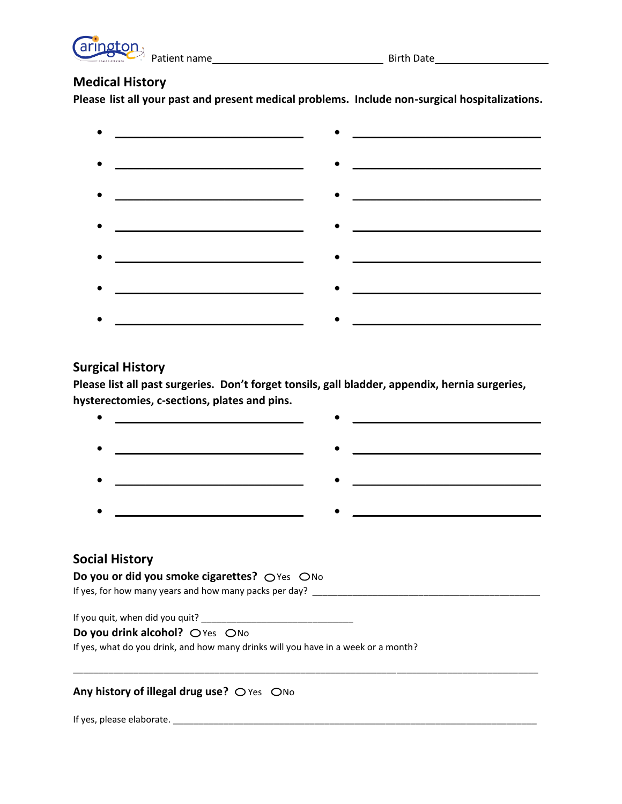

## **Medical History**

**Please list all your past and present medical problems. Include non-surgical hospitalizations.** 

| $\bullet\quad\quad\bullet\quad\quad\bullet\quad\quad\bullet\quad\quad\bullet\quad\quad\bullet\quad\quad\bullet\quad\quad\bullet\quad\quad\bullet\quad\quad\bullet\quad\quad\bullet\quad\quad\bullet\quad\bullet\quad\bullet\quad\bullet\quad\bullet\quad\bullet\quad\bullet\quad\bullet\quad\bullet\quad\bullet\quad\bullet\quad\bullet\quad\bullet\quad\bullet\quad\bullet\quad\bullet\quad\bullet\quad\bullet\quad\bullet\quad\bullet\quad\bullet\quad\bullet\quad\bullet\quad\bullet\quad\bullet\quad\bullet\quad\bullet\quad\bullet\quad\bullet\quad\bullet\quad\bullet\quad\bullet\quad\bullet\quad\bullet\quad\bullet\quad\bullet\quad\bullet\quad\bullet\quad\bullet$ |  |
|------------------------------------------------------------------------------------------------------------------------------------------------------------------------------------------------------------------------------------------------------------------------------------------------------------------------------------------------------------------------------------------------------------------------------------------------------------------------------------------------------------------------------------------------------------------------------------------------------------------------------------------------------------------------------|--|
|                                                                                                                                                                                                                                                                                                                                                                                                                                                                                                                                                                                                                                                                              |  |
|                                                                                                                                                                                                                                                                                                                                                                                                                                                                                                                                                                                                                                                                              |  |
|                                                                                                                                                                                                                                                                                                                                                                                                                                                                                                                                                                                                                                                                              |  |
| • <u>—————————————</u> ——• <u>—————————————</u>                                                                                                                                                                                                                                                                                                                                                                                                                                                                                                                                                                                                                              |  |
| <u>• ———————————————————————————</u>                                                                                                                                                                                                                                                                                                                                                                                                                                                                                                                                                                                                                                         |  |

## **Surgical History**

**Please list all past surgeries. Don't forget tonsils, gall bladder, appendix, hernia surgeries, hysterectomies, c-sections, plates and pins.** 

| <b>Social History</b>                                                              |  |  |  |  |  |  |
|------------------------------------------------------------------------------------|--|--|--|--|--|--|
| Do you or did you smoke cigarettes? OVes ONo                                       |  |  |  |  |  |  |
|                                                                                    |  |  |  |  |  |  |
|                                                                                    |  |  |  |  |  |  |
| Do you drink alcohol? OYes ONo                                                     |  |  |  |  |  |  |
| If yes, what do you drink, and how many drinks will you have in a week or a month? |  |  |  |  |  |  |
|                                                                                    |  |  |  |  |  |  |

### **Any history of illegal drug use?** OYes ONo

If yes, please elaborate. \_\_\_\_\_\_\_\_\_\_\_\_\_\_\_\_\_\_\_\_\_\_\_\_\_\_\_\_\_\_\_\_\_\_\_\_\_\_\_\_\_\_\_\_\_\_\_\_\_\_\_\_\_\_\_\_\_\_\_\_\_\_\_\_\_\_\_\_\_\_\_\_